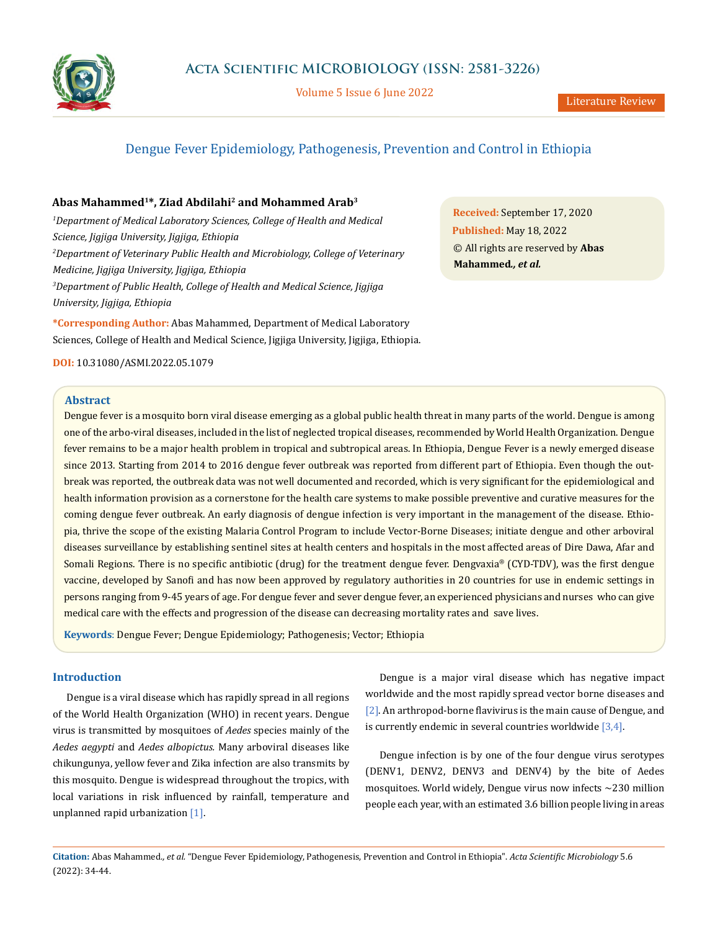

Volume 5 Issue 6 June 2022

# Dengue Fever Epidemiology, Pathogenesis, Prevention and Control in Ethiopia

# **Abas Mahammed1\*, Ziad Abdilahi2 and Mohammed Arab3**

*1 Department of Medical Laboratory Sciences, College of Health and Medical Science, Jigjiga University, Jigjiga, Ethiopia 2 Department of Veterinary Public Health and Microbiology, College of Veterinary Medicine, Jigjiga University, Jigjiga, Ethiopia 3 Department of Public Health, College of Health and Medical Science, Jigjiga University, Jigjiga, Ethiopia*

**\*Corresponding Author:** Abas Mahammed, Department of Medical Laboratory Sciences, College of Health and Medical Science, Jigjiga University, Jigjiga, Ethiopia. **Received:** September 17, 2020 **Published:** May 18, 2022 © All rights are reserved by **Abas Mahammed***., et al.*

### **DOI:** [10.31080/ASMI.2022.05.1079](http://actascientific.com/ASMI/pdf/ASMI-05-1079.pdf)

# **Abstract**

Dengue fever is a mosquito born viral disease emerging as a global public health threat in many parts of the world. Dengue is among one of the arbo-viral diseases, included in the list of neglected tropical diseases, recommended by World Health Organization. Dengue fever remains to be a major health problem in tropical and subtropical areas. In Ethiopia, Dengue Fever is a newly emerged disease since 2013. Starting from 2014 to 2016 dengue fever outbreak was reported from different part of Ethiopia. Even though the outbreak was reported, the outbreak data was not well documented and recorded, which is very significant for the epidemiological and health information provision as a cornerstone for the health care systems to make possible preventive and curative measures for the coming dengue fever outbreak. An early diagnosis of dengue infection is very important in the management of the disease. Ethiopia, thrive the scope of the existing Malaria Control Program to include Vector-Borne Diseases; initiate dengue and other arboviral diseases surveillance by establishing sentinel sites at health centers and hospitals in the most affected areas of Dire Dawa, Afar and Somali Regions. There is no specific antibiotic (drug) for the treatment dengue fever. Dengvaxia® (CYD-TDV), was the first dengue vaccine, developed by Sanofi and has now been approved by regulatory authorities in 20 countries for use in endemic settings in persons ranging from 9-45 years of age. For dengue fever and sever dengue fever, an experienced physicians and nurses who can give medical care with the effects and progression of the disease can decreasing mortality rates and save lives.

**Keywords**: Dengue Fever; Dengue Epidemiology; Pathogenesis; Vector; Ethiopia

# **Introduction**

Dengue is a viral disease which has rapidly spread in all regions of the World Health Organization (WHO) in recent years. Dengue virus is transmitted by mosquitoes of *Aedes* species mainly of the *Aedes aegypti* and *Aedes albopictus.* Many arboviral diseases like chikungunya, yellow fever and Zika infection are also transmits by this mosquito. Dengue is widespread throughout the tropics, with local variations in risk influenced by rainfall, temperature and unplanned rapid urbanization [1].

Dengue is a major viral disease which has negative impact worldwide and the most rapidly spread vector borne diseases and [2]. An arthropod-borne flavivirus is the main cause of Dengue, and is currently endemic in several countries worldwide  $[3,4]$ .

Dengue infection is by one of the four dengue virus serotypes (DENV1, DENV2, DENV3 and DENV4) by the bite of Aedes mosquitoes. World widely, Dengue virus now infects ~230 million people each year, with an estimated 3.6 billion people living in areas

**Citation:** Abas Mahammed*., et al.* "Dengue Fever Epidemiology, Pathogenesis, Prevention and Control in Ethiopia". *Acta Scientific Microbiology* 5.6 (2022): 34-44.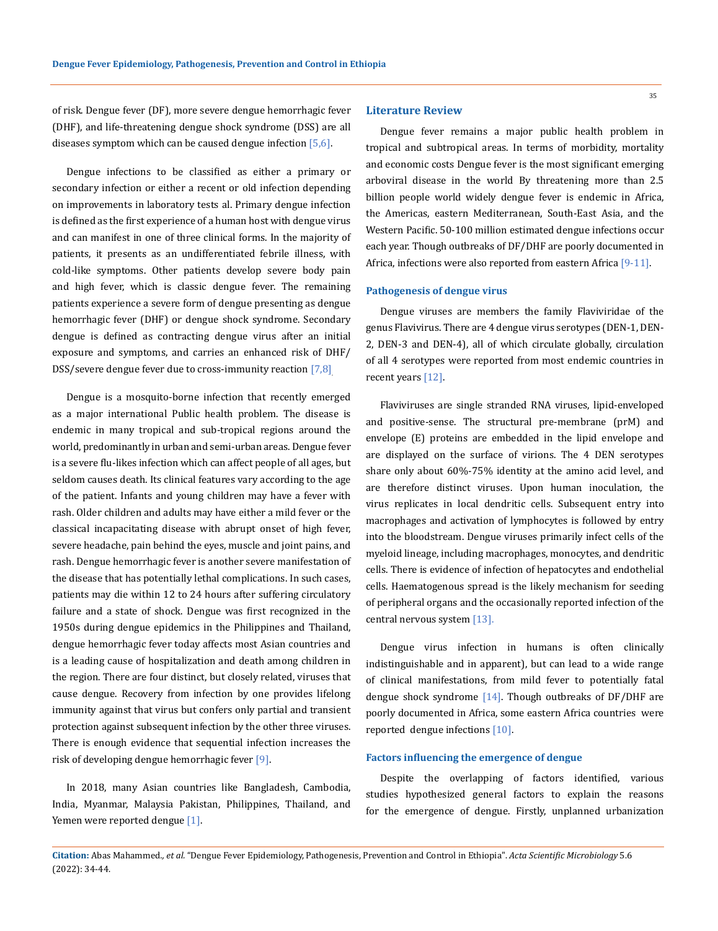of risk. Dengue fever (DF), more severe dengue hemorrhagic fever (DHF), and life-threatening dengue shock syndrome (DSS) are all diseases symptom which can be caused dengue infection  $[5,6]$ .

Dengue infections to be classified as either a primary or secondary infection or either a recent or old infection depending on improvements in laboratory tests al. Primary dengue infection is defined as the first experience of a human host with dengue virus and can manifest in one of three clinical forms. In the majority of patients, it presents as an undifferentiated febrile illness, with cold-like symptoms. Other patients develop severe body pain and high fever, which is classic dengue fever. The remaining patients experience a severe form of dengue presenting as dengue hemorrhagic fever (DHF) or dengue shock syndrome. Secondary dengue is defined as contracting dengue virus after an initial exposure and symptoms, and carries an enhanced risk of DHF/ DSS/severe dengue fever due to cross-immunity reaction [7,8].

Dengue is a mosquito-borne infection that recently emerged as a major international Public health problem. The disease is endemic in many tropical and sub-tropical regions around the world, predominantly in urban and semi-urban areas. Dengue fever is a severe flu-likes infection which can affect people of all ages, but seldom causes death. Its clinical features vary according to the age of the patient. Infants and young children may have a fever with rash. Older children and adults may have either a mild fever or the classical incapacitating disease with abrupt onset of high fever, severe headache, pain behind the eyes, muscle and joint pains, and rash. Dengue hemorrhagic fever is another severe manifestation of the disease that has potentially lethal complications. In such cases, patients may die within 12 to 24 hours after suffering circulatory failure and a state of shock. Dengue was first recognized in the 1950s during dengue epidemics in the Philippines and Thailand, dengue hemorrhagic fever today affects most Asian countries and is a leading cause of hospitalization and death among children in the region. There are four distinct, but closely related, viruses that cause dengue. Recovery from infection by one provides lifelong immunity against that virus but confers only partial and transient protection against subsequent infection by the other three viruses. There is enough evidence that sequential infection increases the risk of developing dengue hemorrhagic fever [9].

In 2018, many Asian countries like Bangladesh, Cambodia, India, Myanmar, Malaysia Pakistan, Philippines, Thailand, and Yemen were reported dengue [1].

#### **Literature Review**

Dengue fever remains a major public health problem in tropical and subtropical areas. In terms of morbidity, mortality and economic costs Dengue fever is the most significant emerging arboviral disease in the world By threatening more than 2.5 billion people world widely dengue fever is endemic in Africa, the Americas, eastern Mediterranean, South-East Asia, and the Western Pacific. 50-100 million estimated dengue infections occur each year. Though outbreaks of DF/DHF are poorly documented in Africa, infections were also reported from eastern Africa [9-11].

#### **Pathogenesis of dengue virus**

Dengue viruses are members the family Flaviviridae of the genus Flavivirus. There are 4 dengue virus serotypes (DEN-1, DEN-2, DEN-3 and DEN-4), all of which circulate globally, circulation of all 4 serotypes were reported from most endemic countries in recent years [12].

Flaviviruses are single stranded RNA viruses, lipid-enveloped and positive-sense. The structural pre-membrane (prM) and envelope (E) proteins are embedded in the lipid envelope and are displayed on the surface of virions. The 4 DEN serotypes share only about 60%-75% identity at the amino acid level, and are therefore distinct viruses. Upon human inoculation, the virus replicates in local dendritic cells. Subsequent entry into macrophages and activation of lymphocytes is followed by entry into the bloodstream. Dengue viruses primarily infect cells of the myeloid lineage, including macrophages, monocytes, and dendritic cells. There is evidence of infection of hepatocytes and endothelial cells. Haematogenous spread is the likely mechanism for seeding of peripheral organs and the occasionally reported infection of the central nervous system [13].

Dengue virus infection in humans is often clinically indistinguishable and in apparent), but can lead to a wide range of clinical manifestations, from mild fever to potentially fatal dengue shock syndrome [14]. Though outbreaks of DF/DHF are poorly documented in Africa, some eastern Africa countries were reported dengue infections [10].

## **Factors influencing the emergence of dengue**

Despite the overlapping of factors identified, various studies hypothesized general factors to explain the reasons for the emergence of dengue. Firstly, unplanned urbanization

**Citation:** Abas Mahammed*., et al.* "Dengue Fever Epidemiology, Pathogenesis, Prevention and Control in Ethiopia". *Acta Scientific Microbiology* 5.6 (2022): 34-44.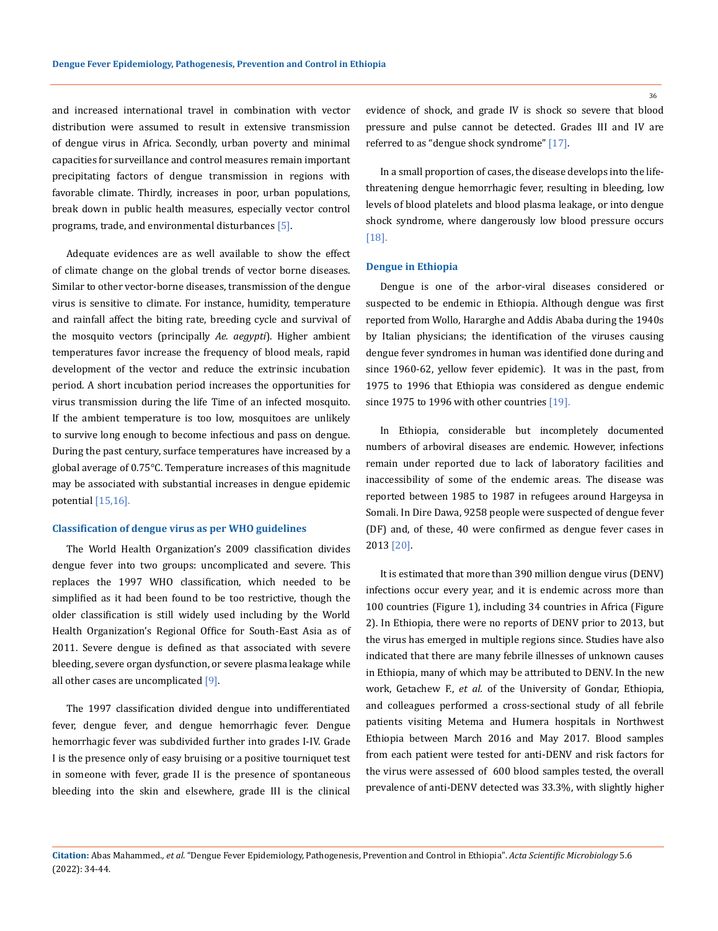and increased international travel in combination with vector distribution were assumed to result in extensive transmission of dengue virus in Africa. Secondly, urban poverty and minimal capacities for surveillance and control measures remain important precipitating factors of dengue transmission in regions with favorable climate. Thirdly, increases in poor, urban populations, break down in public health measures, especially vector control programs, trade, and environmental disturbances [5].

Adequate evidences are as well available to show the effect of climate change on the global trends of vector borne diseases. Similar to other vector-borne diseases, transmission of the dengue virus is sensitive to climate. For instance, humidity, temperature and rainfall affect the biting rate, breeding cycle and survival of the mosquito vectors (principally *Ae. aegypti*). Higher ambient temperatures favor increase the frequency of blood meals, rapid development of the vector and reduce the extrinsic incubation period. A short incubation period increases the opportunities for virus transmission during the life Time of an infected mosquito. If the ambient temperature is too low, mosquitoes are unlikely to survive long enough to become infectious and pass on dengue. During the past century, surface temperatures have increased by a global average of 0.75°C. Temperature increases of this magnitude may be associated with substantial increases in dengue epidemic potential [15,16].

### **Classification of dengue virus as per WHO guidelines**

The World Health Organization's 2009 classification divides dengue fever into two groups: uncomplicated and severe. This replaces the 1997 WHO classification, which needed to be simplified as it had been found to be too restrictive, though the older classification is still widely used including by the World Health Organization's Regional Office for South-East Asia as of 2011. Severe dengue is defined as that associated with severe bleeding, severe organ dysfunction, or severe plasma leakage while all other cases are uncomplicated  $[9]$ .

The 1997 classification divided dengue into undifferentiated fever, dengue fever, and dengue hemorrhagic fever. Dengue hemorrhagic fever was subdivided further into grades I-IV. Grade I is the presence only of easy bruising or a positive tourniquet test in someone with fever, grade II is the presence of spontaneous bleeding into the skin and elsewhere, grade III is the clinical evidence of shock, and grade IV is shock so severe that blood pressure and pulse cannot be detected. Grades III and IV are referred to as "dengue shock syndrome" [17].

In a small proportion of cases, the disease develops into the lifethreatening dengue hemorrhagic fever, resulting in bleeding, low levels of blood platelets and blood plasma leakage, or into dengue shock syndrome, where dangerously low blood pressure occurs [18].

#### **Dengue in Ethiopia**

Dengue is one of the arbor-viral diseases considered or suspected to be endemic in Ethiopia. Although dengue was first reported from Wollo, Hararghe and Addis Ababa during the 1940s by Italian physicians; the identification of the viruses causing dengue fever syndromes in human was identified done during and since 1960-62, yellow fever epidemic). It was in the past, from 1975 to 1996 that Ethiopia was considered as dengue endemic since 1975 to 1996 with other countries [19].

In Ethiopia, considerable but incompletely documented numbers of arboviral diseases are endemic. However, infections remain under reported due to lack of laboratory facilities and inaccessibility of some of the endemic areas. The disease was reported between 1985 to 1987 in refugees around Hargeysa in Somali. In Dire Dawa, 9258 people were suspected of dengue fever (DF) and, of these, 40 were confirmed as dengue fever cases in 2013 [20].

It is estimated that more than 390 million dengue virus (DENV) infections occur every year, and it is endemic across more than 100 countries (Figure 1), including 34 countries in Africa (Figure 2). In Ethiopia, there were no reports of DENV prior to 2013, but the virus has emerged in multiple regions since. Studies have also indicated that there are many febrile illnesses of unknown causes in Ethiopia, many of which may be attributed to DENV. In the new work, Getachew F., *et al.* of the University of Gondar, Ethiopia, and colleagues performed a cross-sectional study of all febrile patients visiting Metema and Humera hospitals in Northwest Ethiopia between March 2016 and May 2017. Blood samples from each patient were tested for anti-DENV and risk factors for the virus were assessed of 600 blood samples tested, the overall prevalence of anti-DENV detected was 33.3%, with slightly higher

**Citation:** Abas Mahammed*., et al.* "Dengue Fever Epidemiology, Pathogenesis, Prevention and Control in Ethiopia". *Acta Scientific Microbiology* 5.6 (2022): 34-44.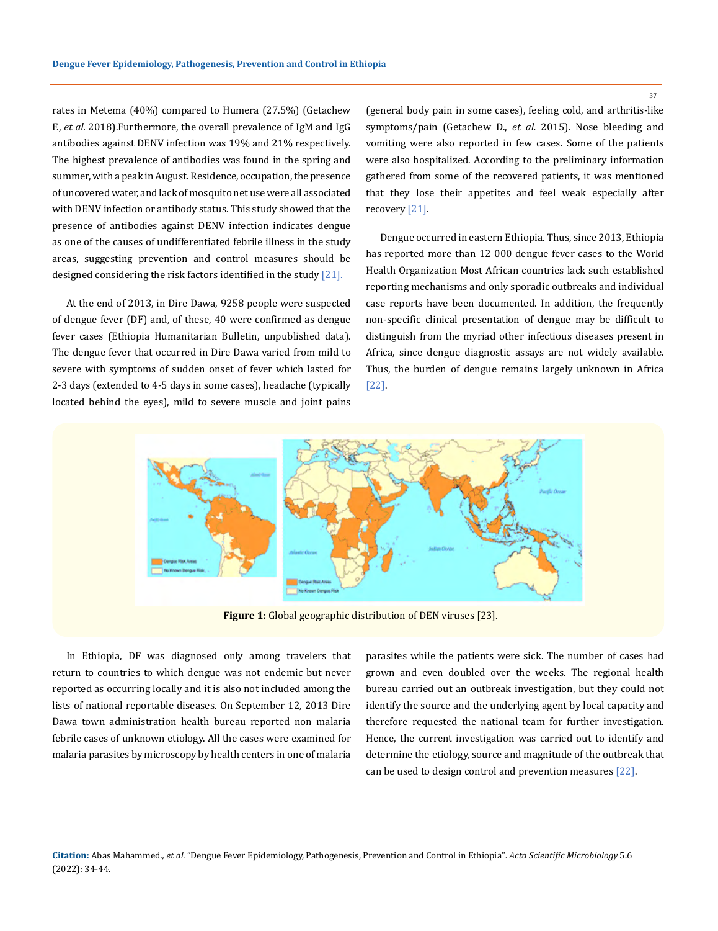rates in Metema (40%) compared to Humera (27.5%) (Getachew F., *et al.* 2018).Furthermore, the overall prevalence of IgM and IgG antibodies against DENV infection was 19% and 21% respectively. The highest prevalence of antibodies was found in the spring and summer, with a peak in August. Residence, occupation, the presence of uncovered water, and lack of mosquito net use were all associated with DENV infection or antibody status. This study showed that the presence of antibodies against DENV infection indicates dengue as one of the causes of undifferentiated febrile illness in the study areas, suggesting prevention and control measures should be designed considering the risk factors identified in the study  $[21]$ .

At the end of 2013, in Dire Dawa, 9258 people were suspected of dengue fever (DF) and, of these, 40 were confirmed as dengue fever cases (Ethiopia Humanitarian Bulletin, unpublished data). The dengue fever that occurred in Dire Dawa varied from mild to severe with symptoms of sudden onset of fever which lasted for 2-3 days (extended to 4-5 days in some cases), headache (typically located behind the eyes), mild to severe muscle and joint pains (general body pain in some cases), feeling cold, and arthritis-like symptoms/pain (Getachew D., *et al.* 2015). Nose bleeding and vomiting were also reported in few cases. Some of the patients were also hospitalized. According to the preliminary information gathered from some of the recovered patients, it was mentioned that they lose their appetites and feel weak especially after recovery [21].

Dengue occurred in eastern Ethiopia. Thus, since 2013, Ethiopia has reported more than 12 000 dengue fever cases to the World Health Organization Most African countries lack such established reporting mechanisms and only sporadic outbreaks and individual case reports have been documented. In addition, the frequently non-specific clinical presentation of dengue may be difficult to distinguish from the myriad other infectious diseases present in Africa, since dengue diagnostic assays are not widely available. Thus, the burden of dengue remains largely unknown in Africa [22].



**Figure 1:** Global geographic distribution of DEN viruses [23].

In Ethiopia, DF was diagnosed only among travelers that return to countries to which dengue was not endemic but never reported as occurring locally and it is also not included among the lists of national reportable diseases. On September 12, 2013 Dire Dawa town administration health bureau reported non malaria febrile cases of unknown etiology. All the cases were examined for malaria parasites by microscopy by health centers in one of malaria

parasites while the patients were sick. The number of cases had grown and even doubled over the weeks. The regional health bureau carried out an outbreak investigation, but they could not identify the source and the underlying agent by local capacity and therefore requested the national team for further investigation. Hence, the current investigation was carried out to identify and determine the etiology, source and magnitude of the outbreak that can be used to design control and prevention measures [22].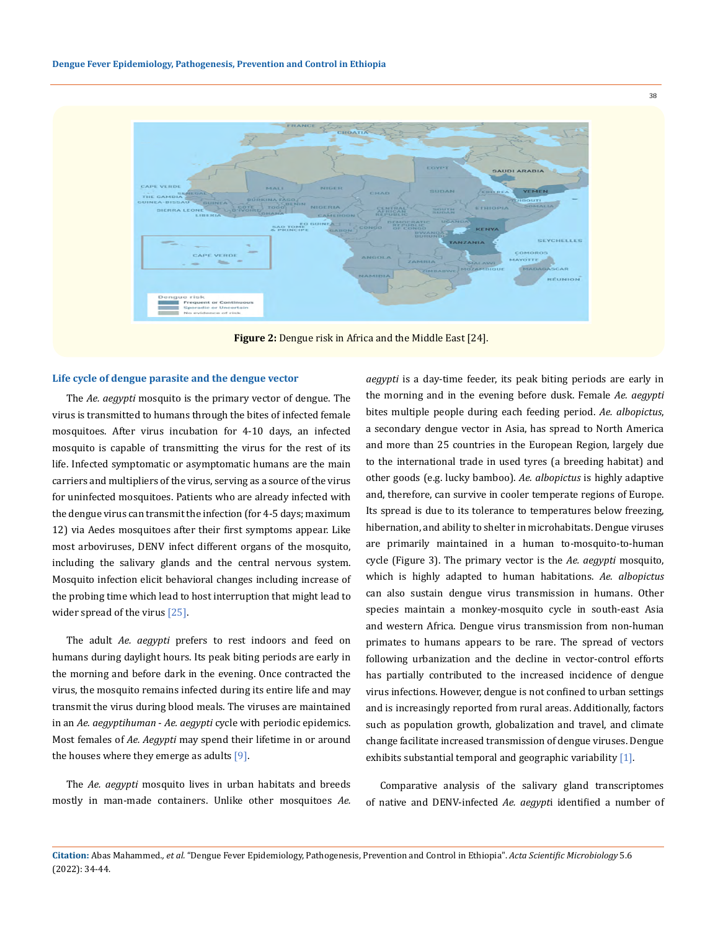

**Figure 2:** Dengue risk in Africa and the Middle East [24].

#### **Life cycle of dengue parasite and the dengue vector**

The *Ae. aegypti* mosquito is the primary vector of dengue. The virus is transmitted to humans through the bites of infected female mosquitoes. After virus incubation for 4-10 days, an infected mosquito is capable of transmitting the virus for the rest of its life. Infected symptomatic or asymptomatic humans are the main carriers and multipliers of the virus, serving as a source of the virus for uninfected mosquitoes. Patients who are already infected with the dengue virus can transmit the infection (for 4-5 days; maximum 12) via Aedes mosquitoes after their first symptoms appear. Like most arboviruses, DENV infect different organs of the mosquito, including the salivary glands and the central nervous system. Mosquito infection elicit behavioral changes including increase of the probing time which lead to host interruption that might lead to wider spread of the virus [25].

The adult *Ae. aegypti* prefers to rest indoors and feed on humans during daylight hours. Its peak biting periods are early in the morning and before dark in the evening. Once contracted the virus, the mosquito remains infected during its entire life and may transmit the virus during blood meals. The viruses are maintained in an *Ae. aegyptihuman* - *Ae. aegypti* cycle with periodic epidemics. Most females of *Ae. Aegypti* may spend their lifetime in or around the houses where they emerge as adults  $[9]$ .

The *Ae. aegypti* mosquito lives in urban habitats and breeds mostly in man-made containers. Unlike other mosquitoes *Ae.*  *aegypti* is a day-time feeder, its peak biting periods are early in the morning and in the evening before dusk. Female *Ae. aegypti* bites multiple people during each feeding period. *Ae. albopictus*, a secondary dengue vector in Asia, has spread to North America and more than 25 countries in the European Region, largely due to the international trade in used tyres (a breeding habitat) and other goods (e.g. lucky bamboo). *Ae. albopictus* is highly adaptive and, therefore, can survive in cooler temperate regions of Europe. Its spread is due to its tolerance to temperatures below freezing, hibernation, and ability to shelter in microhabitats. Dengue viruses are primarily maintained in a human to-mosquito-to-human cycle (Figure 3). The primary vector is the *Ae. aegypti* mosquito, which is highly adapted to human habitations. *Ae. albopictus* can also sustain dengue virus transmission in humans. Other species maintain a monkey-mosquito cycle in south-east Asia and western Africa. Dengue virus transmission from non-human primates to humans appears to be rare. The spread of vectors following urbanization and the decline in vector-control efforts has partially contributed to the increased incidence of dengue virus infections. However, dengue is not confined to urban settings and is increasingly reported from rural areas. Additionally, factors such as population growth, globalization and travel, and climate change facilitate increased transmission of dengue viruses. Dengue exhibits substantial temporal and geographic variability [1].

Comparative analysis of the salivary gland transcriptomes of native and DENV-infected *Ae. aegypt*i identified a number of

**Citation:** Abas Mahammed*., et al.* "Dengue Fever Epidemiology, Pathogenesis, Prevention and Control in Ethiopia". *Acta Scientific Microbiology* 5.6 (2022): 34-44.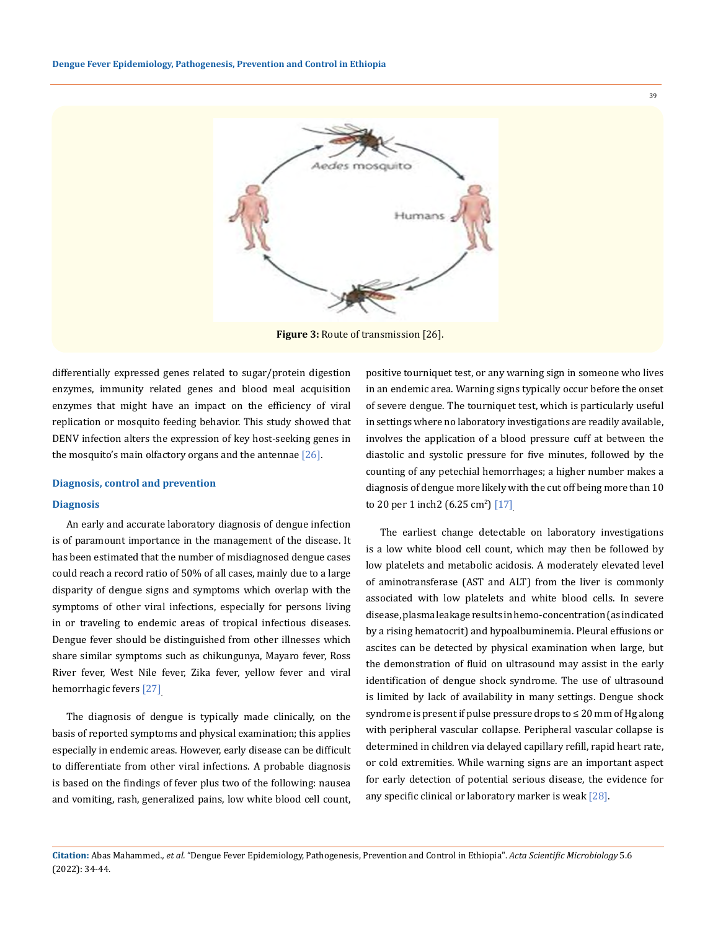

differentially expressed genes related to sugar/protein digestion enzymes, immunity related genes and blood meal acquisition enzymes that might have an impact on the efficiency of viral replication or mosquito feeding behavior. This study showed that DENV infection alters the expression of key host-seeking genes in the mosquito's main olfactory organs and the antennae  $[26]$ .

### **Diagnosis, control and prevention**

#### **Diagnosis**

An early and accurate laboratory diagnosis of dengue infection is of paramount importance in the management of the disease. It has been estimated that the number of misdiagnosed dengue cases could reach a record ratio of 50% of all cases, mainly due to a large disparity of dengue signs and symptoms which overlap with the symptoms of other viral infections, especially for persons living in or traveling to endemic areas of tropical infectious diseases. Dengue fever should be distinguished from other illnesses which share similar symptoms such as chikungunya, Mayaro fever, Ross River fever, West Nile fever, Zika fever, yellow fever and viral hemorrhagic fevers [27].

The diagnosis of dengue is typically made clinically, on the basis of reported symptoms and physical examination; this applies especially in endemic areas. However, early disease can be difficult to differentiate from other viral infections. A probable diagnosis is based on the findings of fever plus two of the following: nausea and vomiting, rash, generalized pains, low white blood cell count, positive tourniquet test, or any warning sign in someone who lives in an endemic area. Warning signs typically occur before the onset of severe dengue. The tourniquet test, which is particularly useful in settings where no laboratory investigations are readily available, involves the application of a blood pressure cuff at between the diastolic and systolic pressure for five minutes, followed by the counting of any petechial hemorrhages; a higher number makes a diagnosis of dengue more likely with the cut off being more than 10 to 20 per 1 inch2 (6.25 cm<sup>2</sup>)  $[17]$ 

The earliest change detectable on laboratory investigations is a low white blood cell count, which may then be followed by low platelets and metabolic acidosis. A moderately elevated level of aminotransferase (AST and ALT) from the liver is commonly associated with low platelets and white blood cells. In severe disease, plasma leakage results in hemo-concentration (as indicated by a rising hematocrit) and hypoalbuminemia. Pleural effusions or ascites can be detected by physical examination when large, but the demonstration of fluid on ultrasound may assist in the early identification of dengue shock syndrome. The use of ultrasound is limited by lack of availability in many settings. Dengue shock syndrome is present if pulse pressure drops to ≤ 20 mm of Hg along with peripheral vascular collapse. Peripheral vascular collapse is determined in children via delayed capillary refill, rapid heart rate, or cold extremities. While warning signs are an important aspect for early detection of potential serious disease, the evidence for any specific clinical or laboratory marker is weak [28].

**Citation:** Abas Mahammed*., et al.* "Dengue Fever Epidemiology, Pathogenesis, Prevention and Control in Ethiopia". *Acta Scientific Microbiology* 5.6 (2022): 34-44.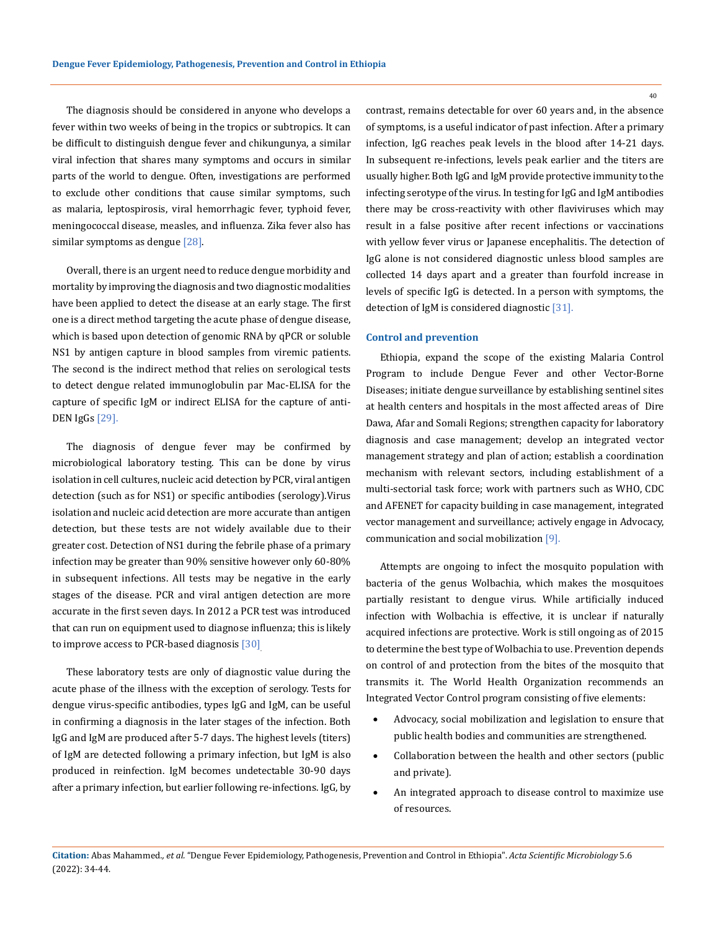The diagnosis should be considered in anyone who develops a fever within two weeks of being in the tropics or subtropics. It can be difficult to distinguish dengue fever and chikungunya, a similar viral infection that shares many symptoms and occurs in similar parts of the world to dengue. Often, investigations are performed to exclude other conditions that cause similar symptoms, such as malaria, leptospirosis, viral hemorrhagic fever, typhoid fever, meningococcal disease, measles, and influenza. Zika fever also has similar symptoms as dengue [28].

Overall, there is an urgent need to reduce dengue morbidity and mortality by improving the diagnosis and two diagnostic modalities have been applied to detect the disease at an early stage. The first one is a direct method targeting the acute phase of dengue disease, which is based upon detection of genomic RNA by qPCR or soluble NS1 by antigen capture in blood samples from viremic patients. The second is the indirect method that relies on serological tests to detect dengue related immunoglobulin par Mac-ELISA for the capture of specific IgM or indirect ELISA for the capture of anti-DEN IgGs [29].

The diagnosis of dengue fever may be confirmed by microbiological laboratory testing. This can be done by virus isolation in cell cultures, nucleic acid detection by PCR, viral antigen detection (such as for NS1) or specific antibodies (serology).Virus isolation and nucleic acid detection are more accurate than antigen detection, but these tests are not widely available due to their greater cost. Detection of NS1 during the febrile phase of a primary infection may be greater than 90% sensitive however only 60-80% in subsequent infections. All tests may be negative in the early stages of the disease. PCR and viral antigen detection are more accurate in the first seven days. In 2012 a PCR test was introduced that can run on equipment used to diagnose influenza; this is likely to improve access to PCR-based diagnosis [30].

These laboratory tests are only of diagnostic value during the acute phase of the illness with the exception of serology. Tests for dengue virus-specific antibodies, types IgG and IgM, can be useful in confirming a diagnosis in the later stages of the infection. Both IgG and IgM are produced after 5-7 days. The highest levels (titers) of IgM are detected following a primary infection, but IgM is also produced in reinfection. IgM becomes undetectable 30-90 days after a primary infection, but earlier following re-infections. IgG, by contrast, remains detectable for over 60 years and, in the absence of symptoms, is a useful indicator of past infection. After a primary infection, IgG reaches peak levels in the blood after 14-21 days. In subsequent re-infections, levels peak earlier and the titers are usually higher. Both IgG and IgM provide protective immunity to the infecting serotype of the virus. In testing for IgG and IgM antibodies there may be cross-reactivity with other flaviviruses which may result in a false positive after recent infections or vaccinations with yellow fever virus or Japanese encephalitis. The detection of IgG alone is not considered diagnostic unless blood samples are collected 14 days apart and a greater than fourfold increase in levels of specific IgG is detected. In a person with symptoms, the detection of IgM is considered diagnostic [31].

#### **Control and prevention**

Ethiopia, expand the scope of the existing Malaria Control Program to include Dengue Fever and other Vector-Borne Diseases; initiate dengue surveillance by establishing sentinel sites at health centers and hospitals in the most affected areas of Dire Dawa, Afar and Somali Regions; strengthen capacity for laboratory diagnosis and case management; develop an integrated vector management strategy and plan of action; establish a coordination mechanism with relevant sectors, including establishment of a multi-sectorial task force; work with partners such as WHO, CDC and AFENET for capacity building in case management, integrated vector management and surveillance; actively engage in Advocacy, communication and social mobilization [9].

Attempts are ongoing to infect the mosquito population with bacteria of the genus Wolbachia, which makes the mosquitoes partially resistant to dengue virus. While artificially induced infection with Wolbachia is effective, it is unclear if naturally acquired infections are protective. Work is still ongoing as of 2015 to determine the best type of Wolbachia to use. Prevention depends on control of and protection from the bites of the mosquito that transmits it. The World Health Organization recommends an Integrated Vector Control program consisting of five elements:

- Advocacy, social mobilization and legislation to ensure that public health bodies and communities are strengthened.
- Collaboration between the health and other sectors (public and private).
- An integrated approach to disease control to maximize use of resources.

**Citation:** Abas Mahammed*., et al.* "Dengue Fever Epidemiology, Pathogenesis, Prevention and Control in Ethiopia". *Acta Scientific Microbiology* 5.6 (2022): 34-44.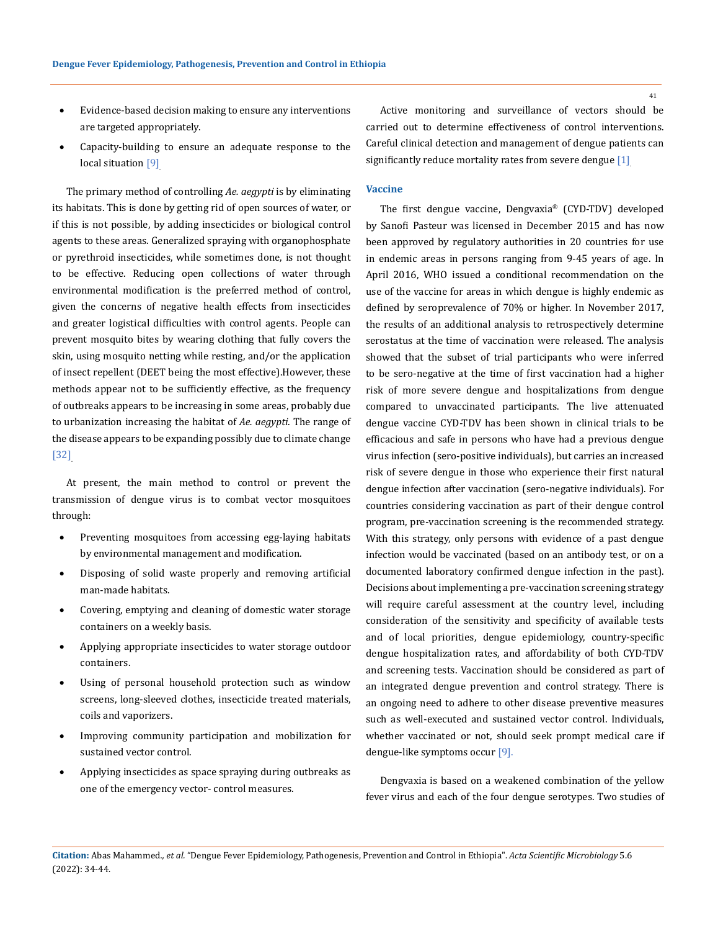- Evidence-based decision making to ensure any interventions are targeted appropriately.
- Capacity-building to ensure an adequate response to the local situation [9].

The primary method of controlling *Ae. aegypti* is by eliminating its habitats. This is done by getting rid of open sources of water, or if this is not possible, by adding insecticides or biological control agents to these areas. Generalized spraying with organophosphate or pyrethroid insecticides, while sometimes done, is not thought to be effective. Reducing open collections of water through environmental modification is the preferred method of control, given the concerns of negative health effects from insecticides and greater logistical difficulties with control agents. People can prevent mosquito bites by wearing clothing that fully covers the skin, using mosquito netting while resting, and/or the application of insect repellent (DEET being the most effective).However, these methods appear not to be sufficiently effective, as the frequency of outbreaks appears to be increasing in some areas, probably due to urbanization increasing the habitat of *Ae. aegypti*. The range of the disease appears to be expanding possibly due to climate change [32].

At present, the main method to control or prevent the transmission of dengue virus is to combat vector mosquitoes through:

- Preventing mosquitoes from accessing egg-laying habitats by environmental management and modification.
- Disposing of solid waste properly and removing artificial man-made habitats.
- Covering, emptying and cleaning of domestic water storage containers on a weekly basis.
- Applying appropriate insecticides to water storage outdoor containers.
- Using of personal household protection such as window screens, long-sleeved clothes, insecticide treated materials, coils and vaporizers.
- Improving community participation and mobilization for sustained vector control.
- Applying insecticides as space spraying during outbreaks as one of the emergency vector- control measures.

Active monitoring and surveillance of vectors should be carried out to determine effectiveness of control interventions. Careful clinical detection and management of dengue patients can significantly reduce mortality rates from severe dengue [1].

### **Vaccine**

The first dengue vaccine, Dengvaxia® (CYD-TDV) developed by Sanofi Pasteur was licensed in December 2015 and has now been approved by regulatory authorities in 20 countries for use in endemic areas in persons ranging from 9-45 years of age. In April 2016, WHO issued a conditional recommendation on the use of the vaccine for areas in which dengue is highly endemic as defined by seroprevalence of 70% or higher. In November 2017, the results of an additional analysis to retrospectively determine serostatus at the time of vaccination were released. The analysis showed that the subset of trial participants who were inferred to be sero-negative at the time of first vaccination had a higher risk of more severe dengue and hospitalizations from dengue compared to unvaccinated participants. The live attenuated dengue vaccine CYD-TDV has been shown in clinical trials to be efficacious and safe in persons who have had a previous dengue virus infection (sero-positive individuals), but carries an increased risk of severe dengue in those who experience their first natural dengue infection after vaccination (sero-negative individuals). For countries considering vaccination as part of their dengue control program, pre-vaccination screening is the recommended strategy. With this strategy, only persons with evidence of a past dengue infection would be vaccinated (based on an antibody test, or on a documented laboratory confirmed dengue infection in the past). Decisions about implementing a pre-vaccination screening strategy will require careful assessment at the country level, including consideration of the sensitivity and specificity of available tests and of local priorities, dengue epidemiology, country-specific dengue hospitalization rates, and affordability of both CYD-TDV and screening tests. Vaccination should be considered as part of an integrated dengue prevention and control strategy. There is an ongoing need to adhere to other disease preventive measures such as well-executed and sustained vector control. Individuals, whether vaccinated or not, should seek prompt medical care if dengue-like symptoms occur [9].

Dengvaxia is based on a weakened combination of the yellow fever virus and each of the four dengue serotypes. Two studies of

**Citation:** Abas Mahammed*., et al.* "Dengue Fever Epidemiology, Pathogenesis, Prevention and Control in Ethiopia". *Acta Scientific Microbiology* 5.6 (2022): 34-44.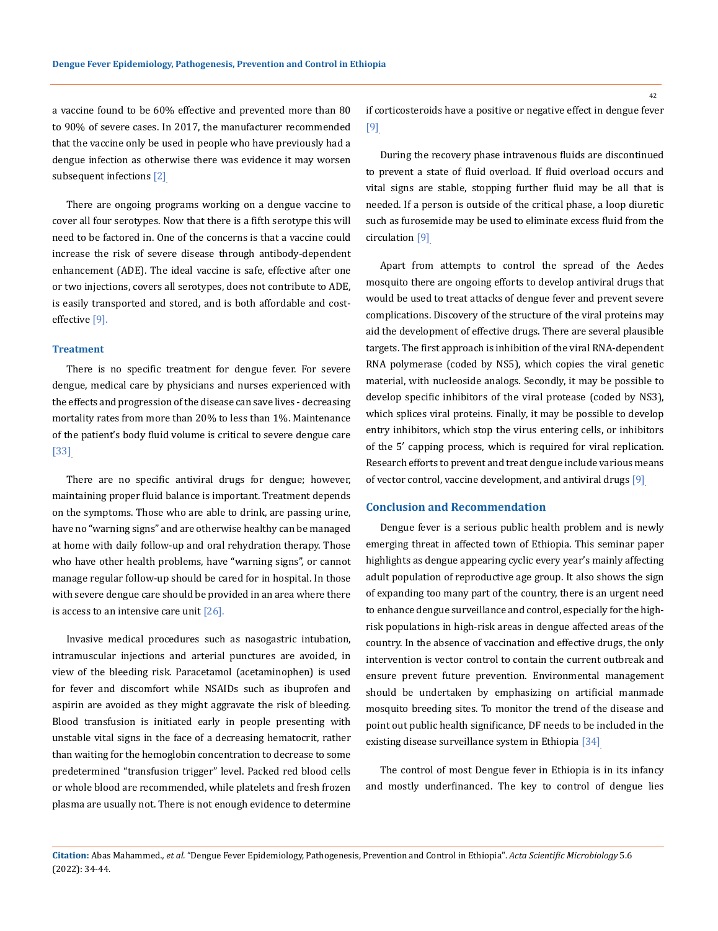a vaccine found to be 60% effective and prevented more than 80 to 90% of severe cases. In 2017, the manufacturer recommended that the vaccine only be used in people who have previously had a dengue infection as otherwise there was evidence it may worsen subsequent infections [2].

There are ongoing programs working on a dengue vaccine to cover all four serotypes. Now that there is a fifth serotype this will need to be factored in. One of the concerns is that a vaccine could increase the risk of severe disease through antibody-dependent enhancement (ADE). The ideal vaccine is safe, effective after one or two injections, covers all serotypes, does not contribute to ADE, is easily transported and stored, and is both affordable and costeffective [9].

### **Treatment**

There is no specific treatment for dengue fever. For severe dengue, medical care by physicians and nurses experienced with the effects and progression of the disease can save lives - decreasing mortality rates from more than 20% to less than 1%. Maintenance of the patient's body fluid volume is critical to severe dengue care [33].

There are no specific antiviral drugs for dengue; however, maintaining proper fluid balance is important. Treatment depends on the symptoms. Those who are able to drink, are passing urine, have no "warning signs" and are otherwise healthy can be managed at home with daily follow-up and oral rehydration therapy. Those who have other health problems, have "warning signs", or cannot manage regular follow-up should be cared for in hospital. In those with severe dengue care should be provided in an area where there is access to an intensive care unit  $[26]$ .

Invasive medical procedures such as nasogastric intubation, intramuscular injections and arterial punctures are avoided, in view of the bleeding risk. Paracetamol (acetaminophen) is used for fever and discomfort while NSAIDs such as ibuprofen and aspirin are avoided as they might aggravate the risk of bleeding. Blood transfusion is initiated early in people presenting with unstable vital signs in the face of a decreasing hematocrit, rather than waiting for the hemoglobin concentration to decrease to some predetermined "transfusion trigger" level. Packed red blood cells or whole blood are recommended, while platelets and fresh frozen plasma are usually not. There is not enough evidence to determine

if corticosteroids have a positive or negative effect in dengue fever [9].

During the recovery phase intravenous fluids are discontinued to prevent a state of fluid overload. If fluid overload occurs and vital signs are stable, stopping further fluid may be all that is needed. If a person is outside of the critical phase, a loop diuretic such as furosemide may be used to eliminate excess fluid from the circulation [9].

Apart from attempts to control the spread of the Aedes mosquito there are ongoing efforts to develop antiviral drugs that would be used to treat attacks of dengue fever and prevent severe complications. Discovery of the structure of the viral proteins may aid the development of effective drugs. There are several plausible targets. The first approach is inhibition of the viral RNA-dependent RNA polymerase (coded by NS5), which copies the viral genetic material, with nucleoside analogs. Secondly, it may be possible to develop specific inhibitors of the viral protease (coded by NS3), which splices viral proteins. Finally, it may be possible to develop entry inhibitors, which stop the virus entering cells, or inhibitors of the 5′ capping process, which is required for viral replication. Research efforts to prevent and treat dengue include various means of vector control, vaccine development, and antiviral drugs [9].

## **Conclusion and Recommendation**

Dengue fever is a serious public health problem and is newly emerging threat in affected town of Ethiopia. This seminar paper highlights as dengue appearing cyclic every year's mainly affecting adult population of reproductive age group. It also shows the sign of expanding too many part of the country, there is an urgent need to enhance dengue surveillance and control, especially for the highrisk populations in high-risk areas in dengue affected areas of the country. In the absence of vaccination and effective drugs, the only intervention is vector control to contain the current outbreak and ensure prevent future prevention. Environmental management should be undertaken by emphasizing on artificial manmade mosquito breeding sites. To monitor the trend of the disease and point out public health significance, DF needs to be included in the existing disease surveillance system in Ethiopia [34].

The control of most Dengue fever in Ethiopia is in its infancy and mostly underfinanced. The key to control of dengue lies

**Citation:** Abas Mahammed*., et al.* "Dengue Fever Epidemiology, Pathogenesis, Prevention and Control in Ethiopia". *Acta Scientific Microbiology* 5.6 (2022): 34-44.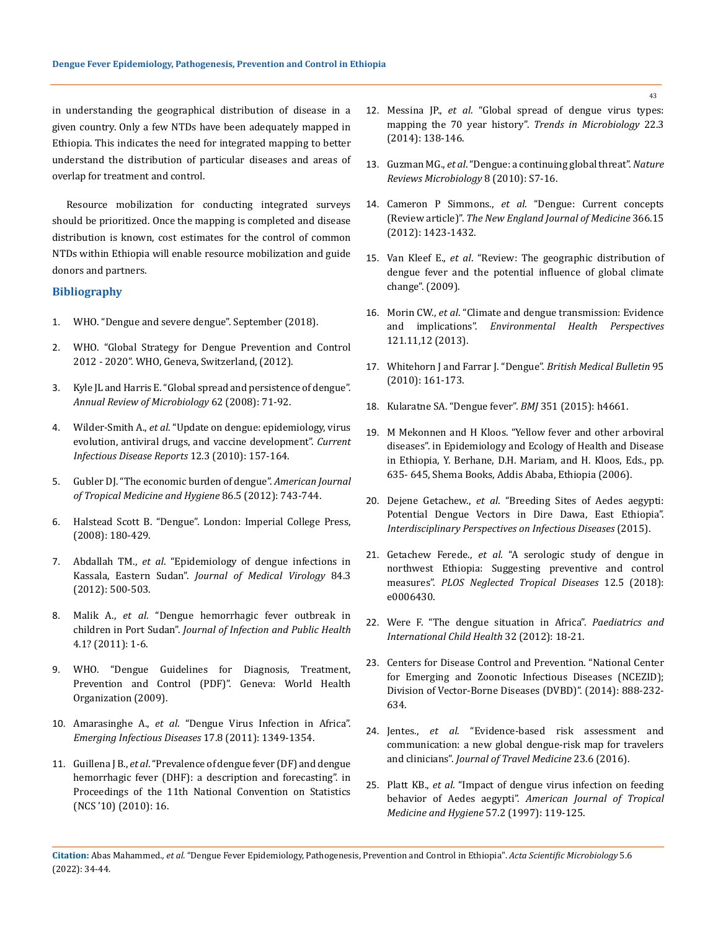in understanding the geographical distribution of disease in a given country. Only a few NTDs have been adequately mapped in Ethiopia. This indicates the need for integrated mapping to better understand the distribution of particular diseases and areas of overlap for treatment and control.

Resource mobilization for conducting integrated surveys should be prioritized. Once the mapping is completed and disease distribution is known, cost estimates for the control of common NTDs within Ethiopia will enable resource mobilization and guide donors and partners.

# **Bibliography**

- 1. WHO. "Dengue and severe dengue". September (2018).
- 2. WHO. "Global Strategy for Dengue Prevention and Control 2012 - 2020". WHO, Geneva, Switzerland, (2012).
- 3. [Kyle JL and Harris E. "Global spread and persistence of dengue".](https://pubmed.ncbi.nlm.nih.gov/18429680/)  *[Annual Review of Microbiology](https://pubmed.ncbi.nlm.nih.gov/18429680/)* 62 (2008): 71-92.
- 4. Wilder-Smith A., *et al*[. "Update on dengue: epidemiology, virus](https://pubmed.ncbi.nlm.nih.gov/21308524/)  [evolution, antiviral drugs, and vaccine development".](https://pubmed.ncbi.nlm.nih.gov/21308524/) *Current [Infectious Disease Reports](https://pubmed.ncbi.nlm.nih.gov/21308524/)* 12.3 (2010): 157-164.
- 5. [Gubler DJ. "The economic burden of dengue".](https://www.ncbi.nlm.nih.gov/pmc/articles/PMC3335674/) *American Journal [of Tropical Medicine and Hygiene](https://www.ncbi.nlm.nih.gov/pmc/articles/PMC3335674/)* 86.5 (2012): 743-744.
- 6. Halstead Scott B. "Dengue". London: Imperial College Press, (2008): 180-429.
- 7. Abdallah TM., *et al*[. "Epidemiology of dengue infections in](https://pubmed.ncbi.nlm.nih.gov/22246838/)  Kassala, Eastern Sudan". *[Journal of Medical Virology](https://pubmed.ncbi.nlm.nih.gov/22246838/)* 84.3 [\(2012\): 500-503.](https://pubmed.ncbi.nlm.nih.gov/22246838/)
- 8. Malik A., *et al*. "Dengue hemorrhagic fever outbreak in children in Port Sudan". *Journal of Infection and Public Health*  4.1? (2011): 1-6.
- 9. WHO. "Dengue Guidelines for Diagnosis, Treatment, Prevention and Control (PDF)". Geneva: World Health Organization (2009).
- 10. Amarasinghe A., *et al*[. "Dengue Virus Infection in Africa".](https://pubmed.ncbi.nlm.nih.gov/21801609/)  *[Emerging Infectious Diseases](https://pubmed.ncbi.nlm.nih.gov/21801609/)* 17.8 (2011): 1349-1354.
- 11. Guillena J B., *et al*. "Prevalence of dengue fever (DF) and dengue hemorrhagic fever (DHF): a description and forecasting". in Proceedings of the 11th National Convention on Statistics (NCS '10) (2010): 16.
- 12. Messina JP., *et al*[. "Global spread of dengue virus types:](https://www.ncbi.nlm.nih.gov/pmc/articles/PMC3946041/)  [mapping the 70 year history".](https://www.ncbi.nlm.nih.gov/pmc/articles/PMC3946041/) *Trends in Microbiology* 22.3 [\(2014\): 138-146.](https://www.ncbi.nlm.nih.gov/pmc/articles/PMC3946041/)
- 13. Guzman MG., *et al*[. "Dengue: a continuing global threat".](https://www.nature.com/articles/nrmicro2460) *Nature [Reviews Microbiology](https://www.nature.com/articles/nrmicro2460)* 8 (2010): S7-16.
- 14. Cameron P Simmons., *et al*. "Dengue: Current concepts (Review article)". *The New England Journal of Medicine* 366.15 (2012): 1423-1432.
- 15. Van Kleef E., *et al*[. "Review: The geographic distribution of](https://eprints.qut.edu.au/218216/)  [dengue fever and the potential influence of global climate](https://eprints.qut.edu.au/218216/)  [change". \(2009\).](https://eprints.qut.edu.au/218216/)
- 16. Morin CW., *et al*[. "Climate and dengue transmission: Evidence](https://ehp.niehs.nih.gov/doi/10.1289/ehp.1306556)  and implications". *[Environmental Health Perspectives](https://ehp.niehs.nih.gov/doi/10.1289/ehp.1306556)* [121.11,12 \(2013\).](https://ehp.niehs.nih.gov/doi/10.1289/ehp.1306556)
- 17. [Whitehorn J and Farrar J. "Dengue".](https://pubmed.ncbi.nlm.nih.gov/20616106/) *British Medical Bulletin* 95 [\(2010\): 161-173.](https://pubmed.ncbi.nlm.nih.gov/20616106/)
- 18. [Kularatne SA. "Dengue fever".](https://pubmed.ncbi.nlm.nih.gov/26374064/) *BMJ* 351 (2015): h4661.
- 19. M Mekonnen and H Kloos. "Yellow fever and other arboviral diseases". in Epidemiology and Ecology of Health and Disease in Ethiopia, Y. Berhane, D.H. Mariam, and H. Kloos, Eds., pp. 635- 645, Shema Books, Addis Ababa, Ethiopia (2006).
- 20. Dejene Getachew., *et al*[. "Breeding Sites of Aedes aegypti:](https://www.hindawi.com/journals/ipid/2015/706276/)  [Potential Dengue Vectors in Dire Dawa, East Ethiopia".](https://www.hindawi.com/journals/ipid/2015/706276/)  *[Interdisciplinary Perspectives on Infectious Diseases](https://www.hindawi.com/journals/ipid/2015/706276/)* (2015).
- 21. Getachew Ferede., *et al*[. "A serologic study of dengue in](https://journals.plos.org/plosntds/article?id=10.1371/journal.pntd.0006430)  [northwest Ethiopia: Suggesting preventive and control](https://journals.plos.org/plosntds/article?id=10.1371/journal.pntd.0006430)  measures". *[PLOS Neglected Tropical Diseases](https://journals.plos.org/plosntds/article?id=10.1371/journal.pntd.0006430)* 12.5 (2018): [e0006430.](https://journals.plos.org/plosntds/article?id=10.1371/journal.pntd.0006430)
- 22. [Were F. "The dengue situation in Africa".](https://pubmed.ncbi.nlm.nih.gov/22668445/) *Paediatrics and [International Child Health](https://pubmed.ncbi.nlm.nih.gov/22668445/)* 32 (2012): 18-21.
- 23. Centers for Disease Control and Prevention. "National Center for Emerging and Zoonotic Infectious Diseases (NCEZID); Division of Vector-Borne Diseases (DVBD)". (2014): 888-232- 634.
- 24. Jentes., *et al*[. "Evidence-based risk assessment and](https://pubmed.ncbi.nlm.nih.gov/27625400/)  [communication: a new global dengue-risk map for travelers](https://pubmed.ncbi.nlm.nih.gov/27625400/)  and clinicians". *[Journal of Travel Medicine](https://pubmed.ncbi.nlm.nih.gov/27625400/)* 23.6 (2016).
- 25. Platt KB., *et al*. "Impact of dengue virus infection on feeding behavior of Aedes aegypti". *American Journal of Tropical Medicine and Hygiene* 57.2 (1997): 119-125.

**Citation:** Abas Mahammed*., et al.* "Dengue Fever Epidemiology, Pathogenesis, Prevention and Control in Ethiopia". *Acta Scientific Microbiology* 5.6 (2022): 34-44.